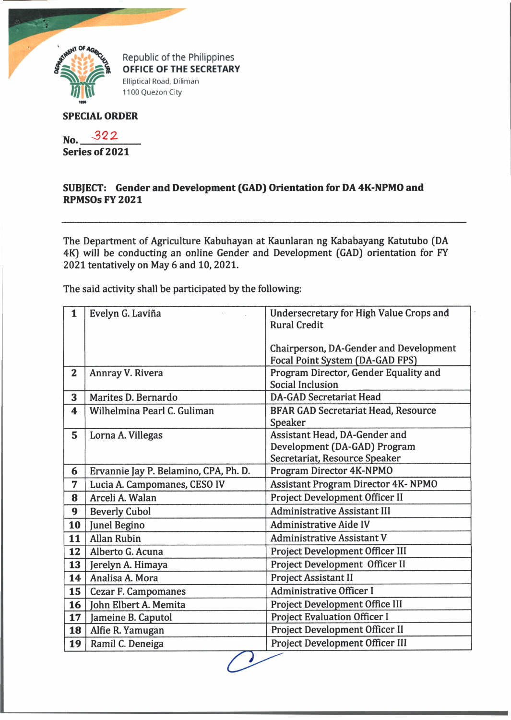

Republic of the Philippines OFFICE OF THE SECRETARY Elliptical Road, Diliman 1100 Quezon City

## **SPECIAL ORDER**

No.  $322$ **Series of 2021**

## **SUBJECT: Gender and Development (GAD) Orientation for DA 4K-NPMO and RPMSOs FY 2021**

The Department of Agriculture Kabuhayan at Kaunlaran ng Kababayang Katutubo (DA 4K) will be conducting an online Gender and Development (GAD) orientation for FY 2021 tentatively on May 6 and 10,2021.

The said activity shall be participated by the following:

| $\mathbf{1}$   | Evelyn G. Laviña                      | Undersecretary for High Value Crops and<br><b>Rural Credit</b>                                 |
|----------------|---------------------------------------|------------------------------------------------------------------------------------------------|
|                |                                       | <b>Chairperson, DA-Gender and Development</b><br>Focal Point System (DA-GAD FPS)               |
| $\overline{2}$ | Annray V. Rivera                      | Program Director, Gender Equality and<br><b>Social Inclusion</b>                               |
| 3              | Marites D. Bernardo                   | <b>DA-GAD Secretariat Head</b>                                                                 |
| 4              | Wilhelmina Pearl C. Guliman           | <b>BFAR GAD Secretariat Head, Resource</b><br>Speaker                                          |
| 5              | Lorna A. Villegas                     | Assistant Head, DA-Gender and<br>Development (DA-GAD) Program<br>Secretariat, Resource Speaker |
| 6              | Ervannie Jay P. Belamino, CPA, Ph. D. | Program Director 4K-NPMO                                                                       |
| 7              | Lucia A. Campomanes, CESO IV          | <b>Assistant Program Director 4K-NPMO</b>                                                      |
| 8              | Arceli A. Walan                       | Project Development Officer II                                                                 |
| 9              | <b>Beverly Cubol</b>                  | <b>Administrative Assistant III</b>                                                            |
| 10             | Junel Begino                          | <b>Administrative Aide IV</b>                                                                  |
| 11             | <b>Allan Rubin</b>                    | <b>Administrative Assistant V</b>                                                              |
| 12             | Alberto G. Acuna                      | Project Development Officer III                                                                |
| 13             | Jerelyn A. Himaya                     | Project Development Officer II                                                                 |
| 14             | Analisa A. Mora                       | Project Assistant II                                                                           |
| 15             | <b>Cezar F. Campomanes</b>            | <b>Administrative Officer I</b>                                                                |
| 16             | <b>John Elbert A. Memita</b>          | Project Development Office III                                                                 |
| 17             | Jameine B. Caputol                    | <b>Project Evaluation Officer I</b>                                                            |
| 18             | Alfie R. Yamugan                      | Project Development Officer II                                                                 |
| 19             | Ramil C. Deneiga                      | Project Development Officer III                                                                |
|                |                                       |                                                                                                |